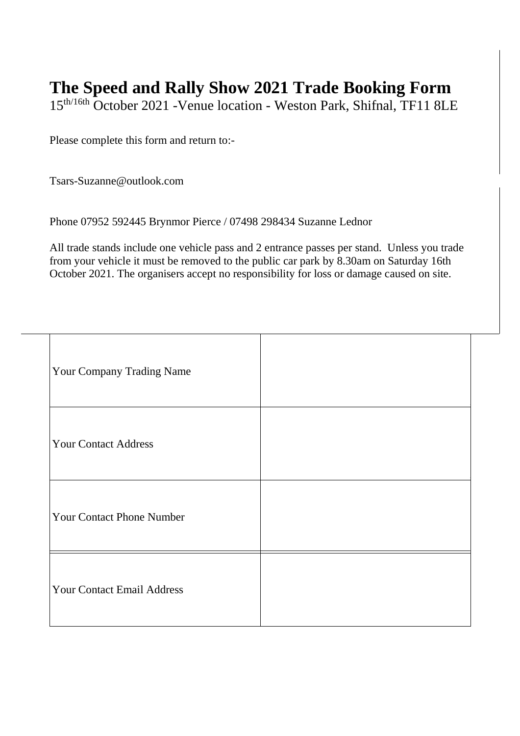## **The Speed and Rally Show 2021 Trade Booking Form**

15th/16th October 2021 -Venue location - Weston Park, Shifnal, TF11 8LE

Please complete this form and return to:-

Tsars-Suzanne@outlook.com

|  | Phone 07952 592445 Brynmor Pierce / 07498 298434 Suzanne Lednor |  |
|--|-----------------------------------------------------------------|--|
|  |                                                                 |  |

All trade stands include one vehicle pass and 2 entrance passes per stand. Unless you trade from your vehicle it must be removed to the public car park by 8.30am on Saturday 16th October 2021. The organisers accept no responsibility for loss or damage caused on site.

| Your Company Trading Name         |  |
|-----------------------------------|--|
| <b>Your Contact Address</b>       |  |
| <b>Your Contact Phone Number</b>  |  |
| <b>Your Contact Email Address</b> |  |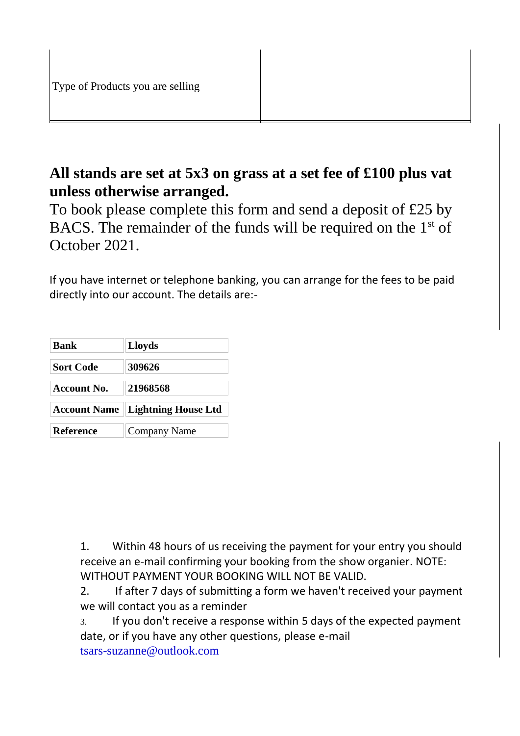## **All stands are set at 5x3 on grass at a set fee of £100 plus vat unless otherwise arranged.**

To book please complete this form and send a deposit of £25 by BACS. The remainder of the funds will be required on the  $1<sup>st</sup>$  of October 2021.

If you have internet or telephone banking, you can arrange for the fees to be paid directly into our account. The details are:-

| <b>Bank</b>         | <b>Lloyds</b>              |  |
|---------------------|----------------------------|--|
| <b>Sort Code</b>    | 309626                     |  |
| <b>Account No.</b>  | 21968568                   |  |
| <b>Account Name</b> | <b>Lightning House Ltd</b> |  |
| <b>Reference</b>    | Company Name               |  |

1. Within 48 hours of us receiving the payment for your entry you should receive an e-mail confirming your booking from the show organier. NOTE: WITHOUT PAYMENT YOUR BOOKING WILL NOT BE VALID.

2. If after 7 days of submitting a form we haven't received your payment we will contact you as a reminder

3. If you don't receive a response within 5 days of the expected payment date, or if you have any other questions, please e-mail tsars-suzanne@outlook.com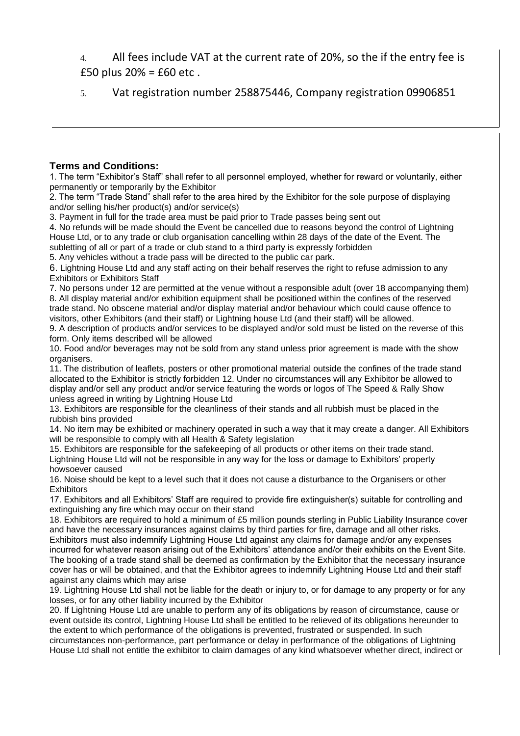4. All fees include VAT at the current rate of 20%, so the if the entry fee is £50 plus 20% = £60 etc .

5. Vat registration number 258875446, Company registration 09906851

## **Terms and Conditions:**

1. The term "Exhibitor's Staff" shall refer to all personnel employed, whether for reward or voluntarily, either permanently or temporarily by the Exhibitor

2. The term "Trade Stand" shall refer to the area hired by the Exhibitor for the sole purpose of displaying and/or selling his/her product(s) and/or service(s)

3. Payment in full for the trade area must be paid prior to Trade passes being sent out

4. No refunds will be made should the Event be cancelled due to reasons beyond the control of Lightning House Ltd, or to any trade or club organisation cancelling within 28 days of the date of the Event. The subletting of all or part of a trade or club stand to a third party is expressly forbidden

5. Any vehicles without a trade pass will be directed to the public car park.

6. Lightning House Ltd and any staff acting on their behalf reserves the right to refuse admission to any Exhibitors or Exhibitors Staff

7. No persons under 12 are permitted at the venue without a responsible adult (over 18 accompanying them) 8. All display material and/or exhibition equipment shall be positioned within the confines of the reserved trade stand. No obscene material and/or display material and/or behaviour which could cause offence to visitors, other Exhibitors (and their staff) or Lightning house Ltd (and their staff) will be allowed.

9. A description of products and/or services to be displayed and/or sold must be listed on the reverse of this form. Only items described will be allowed

10. Food and/or beverages may not be sold from any stand unless prior agreement is made with the show organisers.

11. The distribution of leaflets, posters or other promotional material outside the confines of the trade stand allocated to the Exhibitor is strictly forbidden 12. Under no circumstances will any Exhibitor be allowed to display and/or sell any product and/or service featuring the words or logos of The Speed & Rally Show unless agreed in writing by Lightning House Ltd

13. Exhibitors are responsible for the cleanliness of their stands and all rubbish must be placed in the rubbish bins provided

14. No item may be exhibited or machinery operated in such a way that it may create a danger. All Exhibitors will be responsible to comply with all Health & Safety legislation

15. Exhibitors are responsible for the safekeeping of all products or other items on their trade stand. Lightning House Ltd will not be responsible in any way for the loss or damage to Exhibitors' property howsoever caused

16. Noise should be kept to a level such that it does not cause a disturbance to the Organisers or other **Exhibitors** 

17. Exhibitors and all Exhibitors' Staff are required to provide fire extinguisher(s) suitable for controlling and extinguishing any fire which may occur on their stand

18. Exhibitors are required to hold a minimum of £5 million pounds sterling in Public Liability Insurance cover and have the necessary insurances against claims by third parties for fire, damage and all other risks.

Exhibitors must also indemnify Lightning House Ltd against any claims for damage and/or any expenses incurred for whatever reason arising out of the Exhibitors' attendance and/or their exhibits on the Event Site. The booking of a trade stand shall be deemed as confirmation by the Exhibitor that the necessary insurance cover has or will be obtained, and that the Exhibitor agrees to indemnify Lightning House Ltd and their staff against any claims which may arise

19. Lightning House Ltd shall not be liable for the death or injury to, or for damage to any property or for any losses, or for any other liability incurred by the Exhibitor

20. If Lightning House Ltd are unable to perform any of its obligations by reason of circumstance, cause or event outside its control, Lightning House Ltd shall be entitled to be relieved of its obligations hereunder to the extent to which performance of the obligations is prevented, frustrated or suspended. In such circumstances non-performance, part performance or delay in performance of the obligations of Lightning House Ltd shall not entitle the exhibitor to claim damages of any kind whatsoever whether direct, indirect or